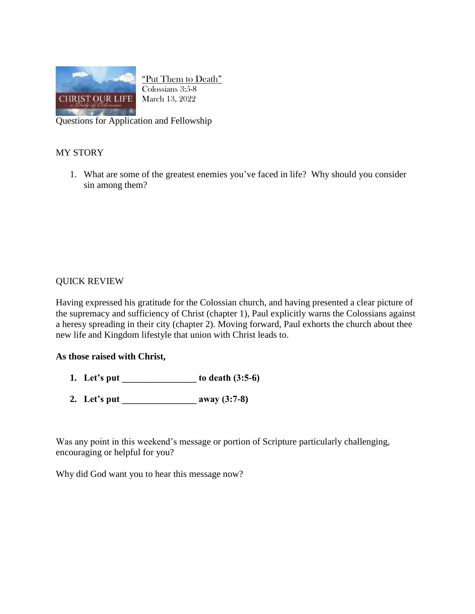

"Put Them to Death" Colossians 3:5-8 March 13, 2022

Questions for Application and Fellowship

## MY STORY

1. What are some of the greatest enemies you've faced in life? Why should you consider sin among them?

## QUICK REVIEW

Having expressed his gratitude for the Colossian church, and having presented a clear picture of the supremacy and sufficiency of Christ (chapter 1), Paul explicitly warns the Colossians against a heresy spreading in their city (chapter 2). Moving forward, Paul exhorts the church about thee new life and Kingdom lifestyle that union with Christ leads to.

## **As those raised with Christ,**

- **1. Let's put \_\_\_\_\_\_\_\_\_\_\_\_\_\_\_\_ to death (3:5-6)**
- **2. Let's put \_\_\_\_\_\_\_\_\_\_\_\_\_\_\_\_ away (3:7-8)**

Was any point in this weekend's message or portion of Scripture particularly challenging, encouraging or helpful for you?

Why did God want you to hear this message now?